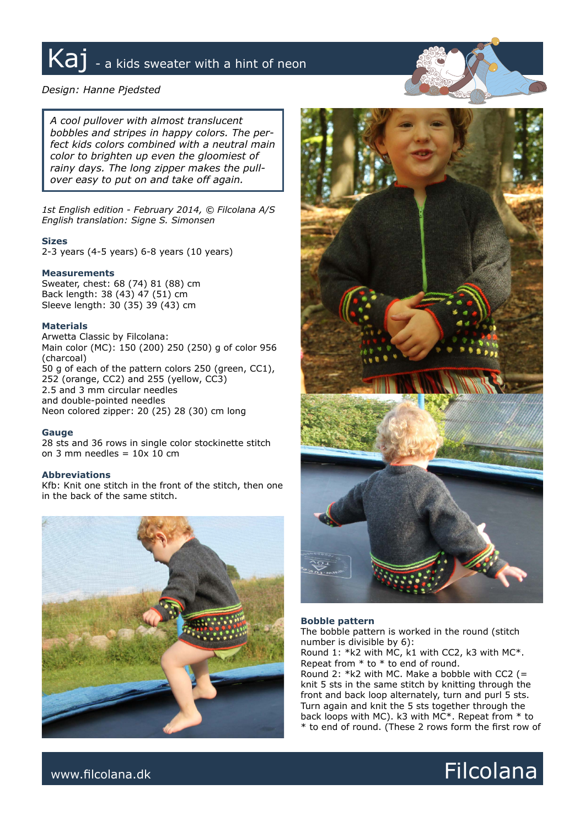# Kaj - a kids sweater with a hint of neon

# *Design: Hanne Pjedsted*

*A cool pullover with almost translucent bobbles and stripes in happy colors. The perfect kids colors combined with a neutral main color to brighten up even the gloomiest of rainy days. The long zipper makes the pullover easy to put on and take off again.* 

*1st English edition - February 2014, © Filcolana A/S English translation: Signe S. Simonsen*

# **Sizes**

2-3 years (4-5 years) 6-8 years (10 years)

# **Measurements**

Sweater, chest: 68 (74) 81 (88) cm Back length: 38 (43) 47 (51) cm Sleeve length: 30 (35) 39 (43) cm

# **Materials**

Arwetta Classic by Filcolana: Main color (MC): 150 (200) 250 (250) g of color 956 (charcoal) 50 g of each of the pattern colors 250 (green, CC1), 252 (orange, CC2) and 255 (yellow, CC3) 2.5 and 3 mm circular needles and double-pointed needles Neon colored zipper: 20 (25) 28 (30) cm long

#### **Gauge**

28 sts and 36 rows in single color stockinette stitch on 3 mm needles =  $10x \overline{10}$  cm

# **Abbreviations**

Kfb: Knit one stitch in the front of the stitch, then one in the back of the same stitch.





# **Bobble pattern**

The bobble pattern is worked in the round (stitch number is divisible by 6):

Round 1: \*k2 with MC, k1 with CC2, k3 with MC\*. Repeat from  $*$  to  $*$  to end of round.

Round 2: \*k2 with MC. Make a bobble with CC2 (= knit 5 sts in the same stitch by knitting through the front and back loop alternately, turn and purl 5 sts. Turn again and knit the 5 sts together through the back loops with MC). k3 with MC\*. Repeat from \* to \* to end of round. (These 2 rows form the first row of

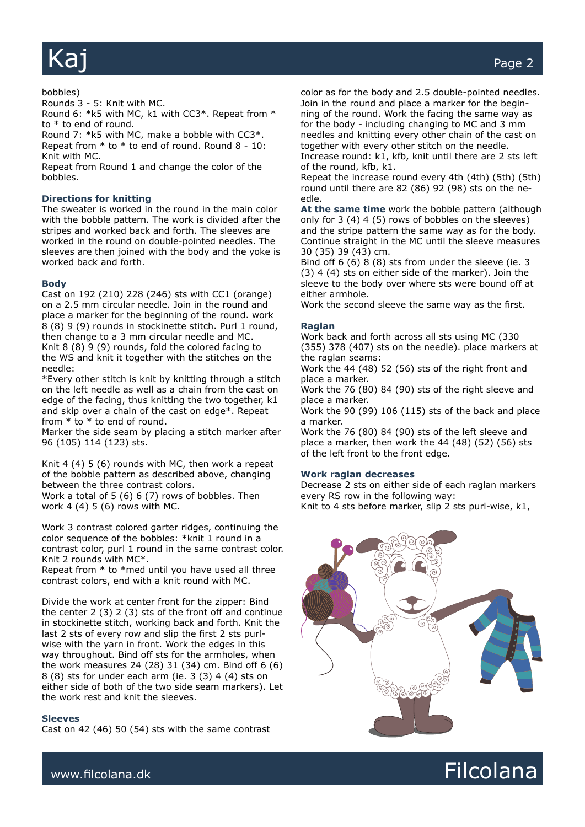# bobbles)

Rounds 3 - 5: Knit with MC.

Round 6: \*k5 with MC, k1 with CC3\*. Repeat from \* to \* to end of round.

Round 7: \*k5 with MC, make a bobble with CC3\*. Repeat from \* to \* to end of round. Round 8 - 10: Knit with MC.

Repeat from Round 1 and change the color of the bobbles.

# **Directions for knitting**

The sweater is worked in the round in the main color with the bobble pattern. The work is divided after the stripes and worked back and forth. The sleeves are worked in the round on double-pointed needles. The sleeves are then joined with the body and the yoke is worked back and forth.

#### **Body**

Cast on 192 (210) 228 (246) sts with CC1 (orange) on a 2.5 mm circular needle. Join in the round and place a marker for the beginning of the round. work 8 (8) 9 (9) rounds in stockinette stitch. Purl 1 round, then change to a 3 mm circular needle and MC. Knit 8 (8) 9 (9) rounds, fold the colored facing to the WS and knit it together with the stitches on the needle:

\*Every other stitch is knit by knitting through a stitch on the left needle as well as a chain from the cast on edge of the facing, thus knitting the two together, k1 and skip over a chain of the cast on edge\*. Repeat from \* to \* to end of round.

Marker the side seam by placing a stitch marker after 96 (105) 114 (123) sts.

Knit 4 (4) 5 (6) rounds with MC, then work a repeat of the bobble pattern as described above, changing between the three contrast colors. Work a total of 5 (6) 6 (7) rows of bobbles. Then work 4 (4) 5 (6) rows with MC.

Work 3 contrast colored garter ridges, continuing the color sequence of the bobbles: \*knit 1 round in a contrast color, purl 1 round in the same contrast color. Knit 2 rounds with MC\*.

Repeat from \* to \*med until you have used all three contrast colors, end with a knit round with MC.

Divide the work at center front for the zipper: Bind the center 2 (3) 2 (3) sts of the front off and continue in stockinette stitch, working back and forth. Knit the last 2 sts of every row and slip the first 2 sts purlwise with the yarn in front. Work the edges in this way throughout. Bind off sts for the armholes, when the work measures 24 (28) 31 (34) cm. Bind off 6 (6) 8 (8) sts for under each arm (ie. 3 (3) 4 (4) sts on either side of both of the two side seam markers). Let the work rest and knit the sleeves.

#### **Sleeves**

Cast on 42 (46) 50 (54) sts with the same contrast

color as for the body and 2.5 double-pointed needles. Join in the round and place a marker for the beginning of the round. Work the facing the same way as for the body - including changing to MC and 3 mm needles and knitting every other chain of the cast on together with every other stitch on the needle.

Increase round: k1, kfb, knit until there are 2 sts left of the round, kfb, k1.

Repeat the increase round every 4th (4th) (5th) (5th) round until there are 82 (86) 92 (98) sts on the needle.

**At the same time** work the bobble pattern (although only for 3 (4) 4 (5) rows of bobbles on the sleeves) and the stripe pattern the same way as for the body. Continue straight in the MC until the sleeve measures 30 (35) 39 (43) cm.

Bind off 6 (6) 8 (8) sts from under the sleeve (ie. 3 (3) 4 (4) sts on either side of the marker). Join the sleeve to the body over where sts were bound off at either armhole.

Work the second sleeve the same way as the first.

#### **Raglan**

Work back and forth across all sts using MC (330 (355) 378 (407) sts on the needle). place markers at the raglan seams:

Work the 44 (48) 52 (56) sts of the right front and place a marker.

Work the 76 (80) 84 (90) sts of the right sleeve and place a marker.

Work the 90 (99) 106 (115) sts of the back and place a marker.

Work the 76 (80) 84 (90) sts of the left sleeve and place a marker, then work the 44 (48) (52) (56) sts of the left front to the front edge.

#### **Work raglan decreases**

Decrease 2 sts on either side of each raglan markers every RS row in the following way:

Knit to 4 sts before marker, slip 2 sts purl-wise, k1,